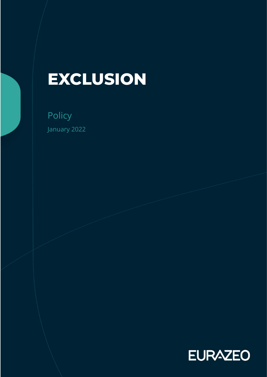# **EXCLUSION**

Policy January 2022

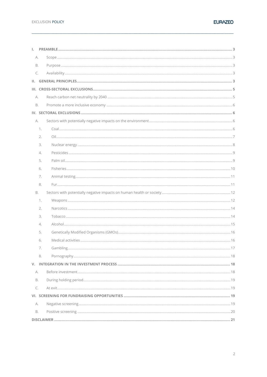| L.        |    |  |
|-----------|----|--|
| А.        |    |  |
| B.        |    |  |
| C.        |    |  |
| Ш.        |    |  |
|           |    |  |
| А.        |    |  |
| B.        |    |  |
|           |    |  |
| А.        |    |  |
|           | 1. |  |
|           | 2. |  |
|           | 3. |  |
|           | 4. |  |
|           | 5. |  |
|           | 6. |  |
|           | 7. |  |
|           | 8. |  |
| <b>B.</b> |    |  |
|           | 1. |  |
|           | 2. |  |
|           | 3. |  |
|           | 4. |  |
|           | 5. |  |
|           | 6. |  |
|           | 7. |  |
|           | 8. |  |
|           |    |  |
| А.        |    |  |
| В.        |    |  |
| C.        |    |  |
|           |    |  |
| А.        |    |  |
| В.        |    |  |
|           |    |  |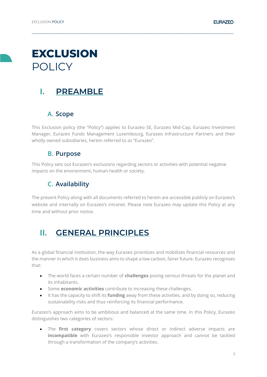# **EXCLUSION** POLICY

# <span id="page-2-0"></span>**I. PREAMBLE**

# <span id="page-2-1"></span>**A. Scope**

This Exclusion policy (the "Policy") applies to Eurazeo SE, Eurazeo Mid-Cap, Eurazeo Investment Manager, Eurazeo Funds Management Luxembourg, Eurazeo Infrastructure Partners and their wholly owned subsidiaries, herein referred to as "Eurazeo".

**\_\_\_\_\_\_\_\_\_\_\_\_\_\_\_\_\_\_\_\_\_\_\_\_\_\_\_\_\_\_\_\_\_\_\_\_\_\_\_\_\_\_\_\_\_\_\_\_\_\_\_\_\_\_\_\_\_\_\_\_\_\_\_\_\_\_\_\_\_\_\_\_\_\_\_\_\_\_\_\_\_\_\_\_\_\_\_\_\_\_\_\_\_\_\_\_\_\_\_\_\_\_\_\_\_\_\_\_\_\_\_\_\_\_\_\_\_\_\_\_\_\_\_\_\_\_\_\_\_\_\_**

### **B. Purpose**

<span id="page-2-3"></span><span id="page-2-2"></span>This Policy sets out Eurazeo's exclusions regarding sectors or activities with potential negative impacts on the environment, human health or society.

# **C. Availability**

The present Policy along with all documents referred to herein are accessible publicly on Eurazeo's website and internally on Eurazeo's intranet. Please note Eurazeo may update this Policy at any time and without prior notice.

# <span id="page-2-4"></span>**II. GENERAL PRINCIPLES**

As a global financial institution, the way Eurazeo prioritizes and mobilizes financial resources and the manner in which it does business aims to shape a low carbon, fairer future. Eurazeo recognises that:

- The world faces a certain number of **challenges** posing serious threats for the planet and its inhabitants.
- Some **economic activities** contribute to increasing these challenges.
- It has the capacity to shift its **funding** away from these activities, and by doing so, reducing sustainability risks and thus reinforcing its financial performance.

Eurazeo's approach aims to be ambitious and balanced at the same time. In this Policy, Eurazeo distinguishes two categories of sectors:

• The **first category** covers sectors whose direct or indirect adverse impacts are **incompatible** with Eurazeo's responsible investor approach and cannot be tackled through a transformation of the company's activities.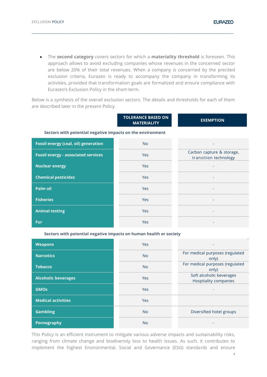• The **second category** covers sectors for which a **materiality threshold** is foreseen. This approach allows to avoid excluding companies whose revenues in the concerned sector are below 20% of their total revenues. When a company is concerned by the precited exclusion criteria, Eurazeo is ready to accompany the company in transforming its activities, provided that transformation goals are formalized and ensure compliance with Eurazeo's Exclusion Policy in the short-term.

**\_\_\_\_\_\_\_\_\_\_\_\_\_\_\_\_\_\_\_\_\_\_\_\_\_\_\_\_\_\_\_\_\_\_\_\_\_\_\_\_\_\_\_\_\_\_\_\_\_\_\_\_\_\_\_\_\_\_\_\_\_\_\_\_\_\_\_\_\_\_\_\_\_\_\_\_\_\_\_\_\_\_\_\_\_\_\_\_\_\_\_\_\_\_\_\_\_\_\_\_\_\_\_\_\_\_\_\_\_\_\_\_\_\_\_\_\_\_\_\_\_\_\_\_\_\_\_\_\_\_\_**

Below is a synthesis of the overall exclusion sectors. The details and thresholds for each of them are described later in the present Policy.

|                                                                    | <b>TOLERANCE BASED ON</b><br><b>MATERIALITY</b> | <b>EXEMPTION</b>                                   |  |  |  |
|--------------------------------------------------------------------|-------------------------------------------------|----------------------------------------------------|--|--|--|
| Sectors with potential negative impacts on the environment         |                                                 |                                                    |  |  |  |
| <b>Fossil energy (coal, oil) generation</b>                        | <b>No</b>                                       |                                                    |  |  |  |
| <b>Fossil energy - associated services</b>                         | Yes                                             | Carbon capture & storage,<br>transition technology |  |  |  |
| <b>Nuclear energy</b>                                              | Yes                                             |                                                    |  |  |  |
| <b>Chemical pesticides</b>                                         | Yes                                             |                                                    |  |  |  |
| <b>Palm oil</b>                                                    | Yes                                             |                                                    |  |  |  |
| <b>Fisheries</b>                                                   | Yes                                             |                                                    |  |  |  |
| <b>Animal testing</b>                                              | Yes                                             |                                                    |  |  |  |
| <b>Fur</b>                                                         | Yes                                             |                                                    |  |  |  |
| Soctors with notantial nogative impacts on human boalth or society |                                                 |                                                    |  |  |  |

**Sectors with potential negative impacts on human health or society**

| <b>Weapons</b>             | Yes          |                                                          |
|----------------------------|--------------|----------------------------------------------------------|
| <b>Narcotics</b>           | No           | For medical purposes (regulated<br>only)                 |
| <b>Tobacco</b>             | $N_{\Omega}$ | For medical purposes (regulated<br>only)                 |
| <b>Alcoholic beverages</b> | Yes          | Soft alcoholic beverages<br><b>Hospitality companies</b> |
| <b>GMOS</b>                | Yes          |                                                          |
| <b>Medical activities</b>  | Yes          |                                                          |
| <b>Gambling</b>            | Nο           | Diversified hotel groups                                 |
| Pornography                | N۱∩          |                                                          |

This Policy is an efficient instrument to mitigate various adverse impacts and sustainability risks, ranging from climate change and biodiversity loss to health issues. As such, it contributes to implement the highest Environmental, Social and Governance (ESG) standards and ensure

**EURAZEO**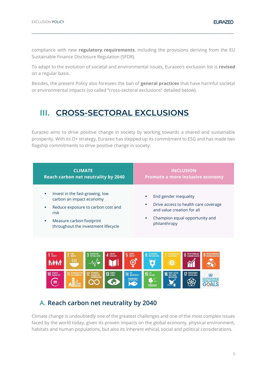compliance with new **regulatory requirements**, including the provisions deriving from the EU Sustainable Finance Disclosure Regulation (SFDR).

**\_\_\_\_\_\_\_\_\_\_\_\_\_\_\_\_\_\_\_\_\_\_\_\_\_\_\_\_\_\_\_\_\_\_\_\_\_\_\_\_\_\_\_\_\_\_\_\_\_\_\_\_\_\_\_\_\_\_\_\_\_\_\_\_\_\_\_\_\_\_\_\_\_\_\_\_\_\_\_\_\_\_\_\_\_\_\_\_\_\_\_\_\_\_\_\_\_\_\_\_\_\_\_\_\_\_\_\_\_\_\_\_\_\_\_\_\_\_\_\_\_\_\_\_\_\_\_\_\_\_\_**

To adapt to the evolution of societal and environmental issues, Eurazeo's exclusion list is **revised** on a regular basis.

Besides, the present Policy also foresees the ban of **general practices** that have harmful societal or environmental impacts (so called "cross-sectoral exclusions" detailed below).

# <span id="page-4-0"></span>**III. CROSS-SECTORAL EXCLUSIONS**

Eurazeo aims to drive positive change in society by working towards a shared and sustainable prosperity. With its O+ strategy, Eurazeo has stepped up its commitment to ESG and has made two flagship commitments to drive positive change in society:

| <b>CLIMATE</b>                                                                                                                                                                               | <b>INCLUSION</b>                                                                                                                                         |
|----------------------------------------------------------------------------------------------------------------------------------------------------------------------------------------------|----------------------------------------------------------------------------------------------------------------------------------------------------------|
| Reach carbon net neutrality by 2040                                                                                                                                                          | Promote a more inclusive economy                                                                                                                         |
| Invest in the fast-growing, low<br>٠<br>carbon an impact economy<br>Reduce exposure to carbon cost and<br>٠<br>risk<br>Measure carbon footprint<br>a.<br>throughout the investment lifecycle | End gender inequality<br>Drive access to health care coverage<br>п<br>and value creation for all<br>Champion equal opportunity and<br>m.<br>philanthropy |



### <span id="page-4-1"></span>**A. Reach carbon net neutrality by 2040**

Climate change is undoubtedly one of the greatest challenges and one of the most complex issues faced by the world today, given its proven impacts on the global economy, physical environment, habitats and human populations, but also its inherent ethical, social and political considerations.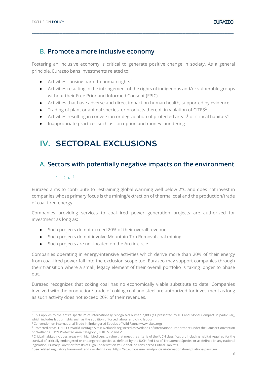### <span id="page-5-0"></span>**B. Promote a more inclusive economy**

Fostering an inclusive economy is critical to generate positive change in society. As a general principle, Eurazeo bans investments related to:

**\_\_\_\_\_\_\_\_\_\_\_\_\_\_\_\_\_\_\_\_\_\_\_\_\_\_\_\_\_\_\_\_\_\_\_\_\_\_\_\_\_\_\_\_\_\_\_\_\_\_\_\_\_\_\_\_\_\_\_\_\_\_\_\_\_\_\_\_\_\_\_\_\_\_\_\_\_\_\_\_\_\_\_\_\_\_\_\_\_\_\_\_\_\_\_\_\_\_\_\_\_\_\_\_\_\_\_\_\_\_\_\_\_\_\_\_\_\_\_\_\_\_\_\_\_\_\_\_\_\_\_**

- Activities causing harm to human rights<sup>1</sup>
- Activities resulting in the infringement of the rights of indigenous and/or vulnerable groups without their Free Prior and Informed Consent (FPIC)
- Activities that have adverse and direct impact on human health, supported by evidence
- Trading of plant or animal species, or products thereof, in violation of CITES<sup>2</sup>
- Activities resulting in conversion or degradation of protected areas<sup>3</sup> or critical habitats<sup>4</sup>
- Inappropriate practices such as corruption and money laundering

# <span id="page-5-1"></span>**IV. SECTORAL EXCLUSIONS**

### <span id="page-5-2"></span>**A. Sectors with potentially negative impacts on the environment**

#### 1.  $Coal<sup>5</sup>$

<span id="page-5-3"></span>Eurazeo aims to contribute to restraining global warming well below 2°C and does not invest in companies whose primary focus is the mining/extraction of thermal coal and the production/trade of coal-fired energy.

Companies providing services to coal-fired power generation projects are authorized for investment as long as:

- Such projects do not exceed 20% of their overall revenue
- Such projects do not involve Mountain Top Removal coal mining
- Such projects are not located on the Arctic circle

Companies operating in energy-intensive activities which derive more than 20% of their energy from coal-fired power fall into the exclusion scope too. Eurazeo may support companies through their transition where a small, legacy element of their overall portfolio is taking longer to phase out.

Eurazeo recognizes that coking coal has no economically viable substitute to date. Companies involved with the production/ trade of coking coal and steel are authorized for investment as long as such activity does not exceed 20% of their revenues.

<sup>&</sup>lt;sup>1</sup> This applies to the entire spectrum of internationally recognized human rights (as presented by ILO and Global Compact in particular), which includes labour rights such as the abolition of forced labour and child labour.

<sup>2</sup> Convention on International Trade in Endangered Species of Wild Fauna (www.cites.org)

<sup>3</sup> Protected areas: UNESCO World Heritage Sites; Wetlands registered as Wetlands of international importance under the Ramsar Convention on Wetlands. IUCN Protected Area Category I, II, III, IV. V and VI.

<sup>4</sup> Critical habitat includes areas with high biodiversity value that meet the criteria of the IUCN classification, including habitat required for the survival of critically endangered or endangered species as defined by the IUCN Red List of Threatened Species or as defined in any national legislation; Primary Forest or forests of High Conservation Value shall be considered Critical Habitats.

<sup>5</sup> See related regulatory framework and / or definitions: https://ec.europa.eu/clima/policies/international/negotiations/paris\_en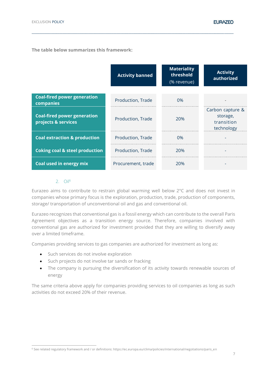|                                                           | <b>Activity banned</b> | <b>Materiality</b><br>threshold<br>(% revenue) | <b>Activity</b><br>authorized                            |
|-----------------------------------------------------------|------------------------|------------------------------------------------|----------------------------------------------------------|
| <b>Coal-fired power generation</b><br>companies           | Production, Trade      | 0%                                             |                                                          |
| <b>Coal-fired power generation</b><br>projects & services | Production, Trade      | 20%                                            | Carbon capture &<br>storage,<br>transition<br>technology |
| <b>Coal extraction &amp; production</b>                   | Production, Trade      | 0%                                             |                                                          |
| <b>Coking coal &amp; steel production</b>                 | Production, Trade      | 20%                                            |                                                          |
| Coal used in energy mix                                   | Procurement, trade     | 20%                                            |                                                          |

**\_\_\_\_\_\_\_\_\_\_\_\_\_\_\_\_\_\_\_\_\_\_\_\_\_\_\_\_\_\_\_\_\_\_\_\_\_\_\_\_\_\_\_\_\_\_\_\_\_\_\_\_\_\_\_\_\_\_\_\_\_\_\_\_\_\_\_\_\_\_\_\_\_\_\_\_\_\_\_\_\_\_\_\_\_\_\_\_\_\_\_\_\_\_\_\_\_\_\_\_\_\_\_\_\_\_\_\_\_\_\_\_\_\_\_\_\_\_\_\_\_\_\_\_\_\_\_\_\_\_\_**

2. Oil<sup>6</sup>

<span id="page-6-0"></span>Eurazeo aims to contribute to restrain global warming well below 2°C and does not invest in companies whose primary focus is the exploration, production, trade, production of components, storage/ transportation of unconventional oil and gas and conventional oil.

Eurazeo recognizes that conventional gas is a fossil energy which can contribute to the overall Paris Agreement objectives as a transition energy source. Therefore, companies involved with conventional gas are authorized for investment provided that they are willing to diversify away over a limited timeframe.

Companies providing services to gas companies are authorized for investment as long as:

- Such services do not involve exploration
- Such projects do not involve tar sands or fracking
- The company is pursuing the diversification of its activity towards renewable sources of energy

The same criteria above apply for companies providing services to oil companies as long as such activities do not exceed 20% of their revenue.

<sup>6</sup> See related regulatory framework and / or definitions: https://ec.europa.eu/clima/policies/international/negotiations/paris\_en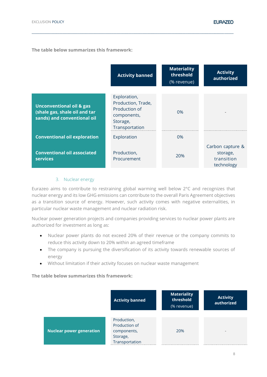|                                                                                                     | <b>Activity banned</b>                                                                           | <b>Materiality</b><br>threshold<br>(% revenue) | <b>Activity</b><br>authorized                            |
|-----------------------------------------------------------------------------------------------------|--------------------------------------------------------------------------------------------------|------------------------------------------------|----------------------------------------------------------|
| <b>Unconventional oil &amp; gas</b><br>(shale gas, shale oil and tar<br>sands) and conventional oil | Exploration,<br>Production, Trade,<br>Production of<br>components,<br>Storage,<br>Transportation | $0\%$                                          |                                                          |
| <b>Conventional oil exploration</b>                                                                 | Exploration                                                                                      | $0\%$                                          |                                                          |
| <b>Conventional oil associated</b><br><b>services</b>                                               | Production,<br>Procurement                                                                       | 20%                                            | Carbon capture &<br>storage,<br>transition<br>technology |

**\_\_\_\_\_\_\_\_\_\_\_\_\_\_\_\_\_\_\_\_\_\_\_\_\_\_\_\_\_\_\_\_\_\_\_\_\_\_\_\_\_\_\_\_\_\_\_\_\_\_\_\_\_\_\_\_\_\_\_\_\_\_\_\_\_\_\_\_\_\_\_\_\_\_\_\_\_\_\_\_\_\_\_\_\_\_\_\_\_\_\_\_\_\_\_\_\_\_\_\_\_\_\_\_\_\_\_\_\_\_\_\_\_\_\_\_\_\_\_\_\_\_\_\_\_\_\_\_\_\_\_**

#### 3. Nuclear energy

<span id="page-7-0"></span>Eurazeo aims to contribute to restraining global warming well below 2°C and recognizes that nuclear energy and its low GHG emissions can contribute to the overall Paris Agreement objectives as a transition source of energy. However, such activity comes with negative externalities, in particular nuclear waste management and nuclear radiation risk.

Nuclear power generation projects and companies providing services to nuclear power plants are authorized for investment as long as:

- Nuclear power plants do not exceed 20% of their revenue or the company commits to reduce this activity down to 20% within an agreed timeframe
- The company is pursuing the diversification of its activity towards renewable sources of energy
- Without limitation if their activity focuses on nuclear waste management

|                                 | <b>Activity banned</b>                                                    | <b>Materiality</b><br>threshold<br>(% revenue) | <b>Activity</b><br>authorized |
|---------------------------------|---------------------------------------------------------------------------|------------------------------------------------|-------------------------------|
| <b>Nuclear power generation</b> | Production,<br>Production of<br>components,<br>Storage,<br>Transportation | 20%                                            | -                             |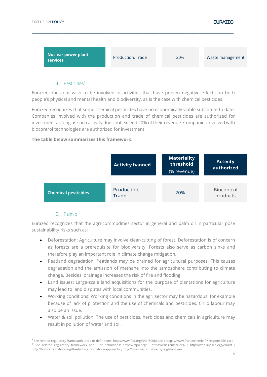

#### 4. Pesticides<sup>7</sup>

<span id="page-8-0"></span>Eurazeo does not wish to be involved in activities that have proven negative effects on both people's physical and mental health and biodiversity, as is the case with chemical pesticides.

Eurazeo recognizes that some chemical pesticides have no economically viable substitute to date. Companies involved with the production and trade of chemical pesticides are authorized for investment as long as such activity does not exceed 20% of their revenue. Companies involved with biocontrol technologies are authorized for investment.

#### **The table below summarizes this framework:**



#### 5. Palm oil<sup>8</sup>

<span id="page-8-1"></span>Eurazeo recognizes that the agri-commodities sector in general and palm oil in particular pose sustainability risks such as:

- Deforestation: Agriculture may involve clear-cutting of forest. Deforestation is of concern as forests are a prerequisite for biodiversity. Forests also serve as carbon sinks and therefore play an important role in climate change mitigation.
- Peatland degradation: Peatlands may be drained for agricultural purposes. This causes degradation and the emission of methane into the atmosphere contributing to climate change. Besides, drainage increases the risk of fire and flooding.
- Land issues: Large-scale land acquisitions for the purpose of plantations for agriculture may lead to land disputes with local communities.
- Working conditions: Working conditions in the agri sector may be hazardous, for example because of lack of protection and the use of chemicals and pesticides. Child labour may also be an issue.
- Water & soil pollution: The use of pesticides, herbicides and chemicals in agriculture may result in pollution of water and soil.

<sup>7</sup> See related regulatory framework and / or definitions: http://www.fao.org/3/a-i5008e.pdf ; https://www.francechimie.fr/ responsible-care <sup>8</sup> See related regulatory framework and / or definitions: https://rspo.org/ ; https://rsis.ramsar.org/ ; http://whc.unesco.org/en/list ; http://highcarbonstock.org/the-high-carbon-stock-approach/ ; http://www.responsiblesoy.org/?lang=en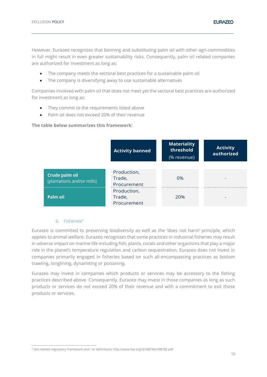However, Eurazeo recognizes that banning and substituting palm oil with other agri-commodities in full might result in even greater sustainability risks. Consequently, palm oil related companies are authorized for investment as long as:

**\_\_\_\_\_\_\_\_\_\_\_\_\_\_\_\_\_\_\_\_\_\_\_\_\_\_\_\_\_\_\_\_\_\_\_\_\_\_\_\_\_\_\_\_\_\_\_\_\_\_\_\_\_\_\_\_\_\_\_\_\_\_\_\_\_\_\_\_\_\_\_\_\_\_\_\_\_\_\_\_\_\_\_\_\_\_\_\_\_\_\_\_\_\_\_\_\_\_\_\_\_\_\_\_\_\_\_\_\_\_\_\_\_\_\_\_\_\_\_\_\_\_\_\_\_\_\_\_\_\_\_**

- The company meets the sectoral best practices for a sustainable palm oil
- The company is diversifying away to use sustainable alternatives

Companies involved with palm oil that does not meet yet the sectoral best practices are authorized for investment as long as:

- They commit to the requirements listed above
- Palm oil does not exceed 20% of their revenue

#### **The table below summarizes this framework:**

|                                              | <b>Activity banned</b>               | <b>Materiality</b><br>threshold<br>(% revenue) | <b>Activity</b><br>authorized |
|----------------------------------------------|--------------------------------------|------------------------------------------------|-------------------------------|
| Crude palm oil<br>(plantations and/or mills) | Production,<br>Trade,<br>Procurement | 0%                                             |                               |
| Palm oil                                     | Production,<br>Trade,<br>Procurement | 20%                                            |                               |

#### 6. Fisheries<sup>9</sup>

<span id="page-9-0"></span>Eurazeo is committed to preserving biodiversity as well as the 'does not harm' principle, which applies to animal welfare. Eurazeo recognizes that some practices in industrial fisheries may result in adverse impact on marine life including fish, plants, corals and other organisms that play a major role in the planet's temperature regulation and carbon sequestration. Eurazeo does not invest in companies primarily engaged in fisheries based on such all-encompassing practices as bottom trawling, longlining, dynamiting or poisoning.

Eurazeo may invest in companies which products or services may be accessory to the fishing practices described above. Consequently, Eurazeo may invest in those companies as long as such products or services do not exceed 20% of their revenue and with a commitment to exit those products or services.

<sup>9</sup> See related regulatory framework and / or definitions: http://www.fao.org/3/v9878e/V9878E.pdf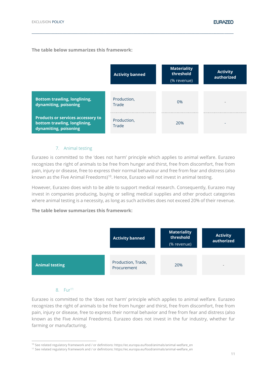|                                                                                                   | <b>Activity banned</b> | <b>Materiality</b><br>threshold<br>(% revenue) | <b>Activity</b><br>authorized |
|---------------------------------------------------------------------------------------------------|------------------------|------------------------------------------------|-------------------------------|
| <b>Bottom trawling, longlining,</b><br>dynamiting, poisoning                                      | Production,<br>Trade   | 0%                                             |                               |
| <b>Products or services accessory to</b><br>bottom trawling, longlining,<br>dynamiting, poisoning | Production,<br>Trade   | 20%                                            | -                             |

**\_\_\_\_\_\_\_\_\_\_\_\_\_\_\_\_\_\_\_\_\_\_\_\_\_\_\_\_\_\_\_\_\_\_\_\_\_\_\_\_\_\_\_\_\_\_\_\_\_\_\_\_\_\_\_\_\_\_\_\_\_\_\_\_\_\_\_\_\_\_\_\_\_\_\_\_\_\_\_\_\_\_\_\_\_\_\_\_\_\_\_\_\_\_\_\_\_\_\_\_\_\_\_\_\_\_\_\_\_\_\_\_\_\_\_\_\_\_\_\_\_\_\_\_\_\_\_\_\_\_\_**

#### 7. Animal testing

<span id="page-10-0"></span>Eurazeo is committed to the 'does not harm' principle which applies to animal welfare. Eurazeo recognizes the right of animals to be free from hunger and thirst, free from discomfort, free from pain, injury or disease, free to express their normal behaviour and free from fear and distress (also known as the Five Animal Freedoms)<sup>10</sup>. Hence, Eurazeo will not invest in animal testing.

However, Eurazeo does wish to be able to support medical research. Consequently, Eurazeo may invest in companies producing, buying or selling medical supplies and other product categories where animal testing is a necessity, as long as such activities does not exceed 20% of their revenue.

#### **The table below summarizes this framework:**



#### 8. Fur<sup>11</sup>

<span id="page-10-1"></span>Eurazeo is committed to the 'does not harm' principle which applies to animal welfare. Eurazeo recognizes the right of animals to be free from hunger and thirst, free from discomfort, free from pain, injury or disease, free to express their normal behavior and free from fear and distress (also known as the Five Animal Freedoms). Eurazeo does not invest in the fur industry, whether fur farming or manufacturing.

<sup>10</sup> See related regulatory framework and / or definitions: https://ec.europa.eu/food/animals/animal-welfare\_en

<sup>11</sup> See related regulatory framework and / or definitions: https://ec.europa.eu/food/animals/animal-welfare\_en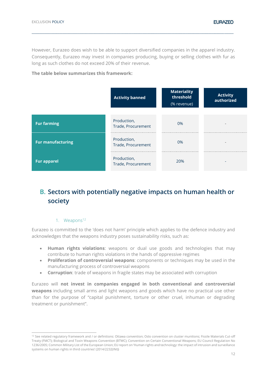However, Eurazeo does wish to be able to support diversified companies in the apparel industry. Consequently, Eurazeo may invest in companies producing, buying or selling clothes with fur as long as such clothes do not exceed 20% of their revenue.

**\_\_\_\_\_\_\_\_\_\_\_\_\_\_\_\_\_\_\_\_\_\_\_\_\_\_\_\_\_\_\_\_\_\_\_\_\_\_\_\_\_\_\_\_\_\_\_\_\_\_\_\_\_\_\_\_\_\_\_\_\_\_\_\_\_\_\_\_\_\_\_\_\_\_\_\_\_\_\_\_\_\_\_\_\_\_\_\_\_\_\_\_\_\_\_\_\_\_\_\_\_\_\_\_\_\_\_\_\_\_\_\_\_\_\_\_\_\_\_\_\_\_\_\_\_\_\_\_\_\_\_**

#### **The table below summarizes this framework:**

|                          | <b>Activity banned</b>            | <b>Materiality</b><br>threshold<br>(% revenue) | <b>Activity</b><br>authorized |
|--------------------------|-----------------------------------|------------------------------------------------|-------------------------------|
|                          |                                   |                                                |                               |
| <b>Fur farming</b>       | Production,<br>Trade, Procurement | 0%                                             | -                             |
| <b>Fur manufacturing</b> | Production,<br>Trade, Procurement | 0%                                             | $\overline{\phantom{a}}$      |
| <b>Fur apparel</b>       | Production,<br>Trade, Procurement | 20%                                            |                               |

# <span id="page-11-0"></span>**B. Sectors with potentially negative impacts on human health or society**

#### 1. Weapons<sup>12</sup>

<span id="page-11-1"></span>Eurazeo is committed to the 'does not harm' principle which applies to the defence industry and acknowledges that the weapons industry poses sustainability risks, such as:

- **Human rights violations**: weapons or dual use goods and technologies that may contribute to human rights violations in the hands of oppressive regimes
- **Proliferation of controversial weapons**: components or techniques may be used in the manufacturing process of controversial weapons
- **Corruption**: trade of weapons in fragile states may be associated with corruption

Eurazeo will **not invest in companies engaged in both conventional and controversial weapons** including small arms and light weapons and goods which have no practical use other than for the purpose of "capital punishment, torture or other cruel, inhuman or degrading treatment or punishment".

<sup>&</sup>lt;sup>12</sup> See related regulatory framework and / or definitions: Ottawa convention; Oslo convention on cluster munitions; Fissile Materials Cut-off Treaty (FMCT); Biological and Toxin Weapons Convention (BTWC); Convention on Certain Conventional Weapons; EU Council Regulation No 1236/2005; Common Military List of the European Union; EU report on 'Human rights and technology: the impact of intrusion and surveillance systems on human rights in third countries' (2014/2232(INI))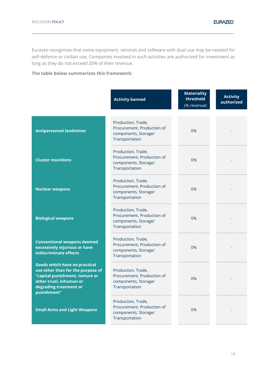Eurazeo recognizes that some equipment, services and software with dual use may be needed for self-defence or civilian use. Companies involved in such activities are authorized for investment as long as they do not exceed 20% of their revenue.

**\_\_\_\_\_\_\_\_\_\_\_\_\_\_\_\_\_\_\_\_\_\_\_\_\_\_\_\_\_\_\_\_\_\_\_\_\_\_\_\_\_\_\_\_\_\_\_\_\_\_\_\_\_\_\_\_\_\_\_\_\_\_\_\_\_\_\_\_\_\_\_\_\_\_\_\_\_\_\_\_\_\_\_\_\_\_\_\_\_\_\_\_\_\_\_\_\_\_\_\_\_\_\_\_\_\_\_\_\_\_\_\_\_\_\_\_\_\_\_\_\_\_\_\_\_\_\_\_\_\_\_**

|                                                                                                                                                                                  | <b>Activity banned</b>                                                                     | <b>Materiality</b><br>threshold<br>(% revenue) | <b>Activity</b><br>authorized |
|----------------------------------------------------------------------------------------------------------------------------------------------------------------------------------|--------------------------------------------------------------------------------------------|------------------------------------------------|-------------------------------|
| <b>Antipersonnel landmines</b>                                                                                                                                                   | Production, Trade,<br>Procurement, Production of<br>components, Storage/<br>Transportation | 0%                                             |                               |
| <b>Cluster munitions</b>                                                                                                                                                         | Production, Trade,<br>Procurement, Production of<br>components, Storage/<br>Transportation | 0%                                             |                               |
| <b>Nuclear weapons</b>                                                                                                                                                           | Production, Trade,<br>Procurement, Production of<br>components, Storage/<br>Transportation | 0%                                             |                               |
| <b>Biological weapons</b>                                                                                                                                                        | Production, Trade,<br>Procurement, Production of<br>components, Storage/<br>Transportation | 0%                                             |                               |
| <b>Conventional weapons deemed</b><br>excessively injurious or have<br>indiscriminate effects                                                                                    | Production, Trade,<br>Procurement, Production of<br>components, Storage/<br>Transportation | 0%                                             |                               |
| <b>Goods which have no practical</b><br>use other than for the purpose of<br>"capital punishment, torture or<br>other cruel, inhuman or<br>degrading treatment or<br>punishment" | Production, Trade,<br>Procurement, Production of<br>components, Storage/<br>Transportation | 0%                                             |                               |
| <b>Small Arms and Light Weapons</b>                                                                                                                                              | Production, Trade,<br>Procurement, Production of<br>components, Storage/<br>Transportation | 0%                                             |                               |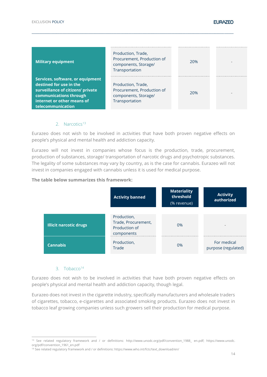| <b>Military equipment</b>                                                                                                                                                     | Production, Trade,<br>Procurement, Production of<br>components, Storage/<br>Transportation | 20% | $\qquad \qquad$          |
|-------------------------------------------------------------------------------------------------------------------------------------------------------------------------------|--------------------------------------------------------------------------------------------|-----|--------------------------|
| Services, software, or equipment<br>destined for use in the<br>surveillance of citizens' private<br>communications through<br>internet or other means of<br>telecommunication | Production, Trade,<br>Procurement, Production of<br>components, Storage/<br>Transportation | 20% | $\overline{\phantom{a}}$ |

**\_\_\_\_\_\_\_\_\_\_\_\_\_\_\_\_\_\_\_\_\_\_\_\_\_\_\_\_\_\_\_\_\_\_\_\_\_\_\_\_\_\_\_\_\_\_\_\_\_\_\_\_\_\_\_\_\_\_\_\_\_\_\_\_\_\_\_\_\_\_\_\_\_\_\_\_\_\_\_\_\_\_\_\_\_\_\_\_\_\_\_\_\_\_\_\_\_\_\_\_\_\_\_\_\_\_\_\_\_\_\_\_\_\_\_\_\_\_\_\_\_\_\_\_\_\_\_\_\_\_\_**

#### 2. Narcotics<sup>13</sup>

<span id="page-13-0"></span>Eurazeo does not wish to be involved in activities that have both proven negative effects on people's physical and mental health and addiction capacity.

Eurazeo will not invest in companies whose focus is the production, trade, procurement, production of substances, storage/ transportation of narcotic drugs and psychotropic substances. The legality of some substances may vary by country, as is the case for cannabis. Eurazeo will not invest in companies engaged with cannabis unless it is used for medical purpose.

#### **The table below summarizes this framework:**

|                               | <b>Activity banned</b>                                            | <b>Materiality</b><br>threshold<br>(% revenue) | <b>Activity</b><br>authorized      |
|-------------------------------|-------------------------------------------------------------------|------------------------------------------------|------------------------------------|
| <b>Illicit narcotic drugs</b> | Production,<br>Trade, Procurement,<br>Production of<br>components | 0%                                             | $\overline{\phantom{a}}$           |
| <b>Cannabis</b>               | Production,<br>Trade                                              | 0%                                             | For medical<br>purpose (regulated) |

#### 3. Tobacco<sup>14</sup>

<span id="page-13-1"></span>Eurazeo does not wish to be involved in activities that have both proven negative effects on people's physical and mental health and addiction capacity, though legal.

Eurazeo does not invest in the cigarette industry, specifically manufacturers and wholesale traders of cigarettes, tobacco, e-cigarettes and associated smoking products. Eurazeo does not invest in tobacco leaf growing companies unless such growers sell their production for medical purpose.

<sup>13</sup> See related regulatory framework and / or definitions: http://www.unodc.org/pdf/convention\_1988\_ en.pdf; https://www.unodc. org/pdf/convention\_1961\_en.pdf

<sup>14</sup> See related regulatory framework and / or definitions: https://www.who.int/fctc/text\_download/en/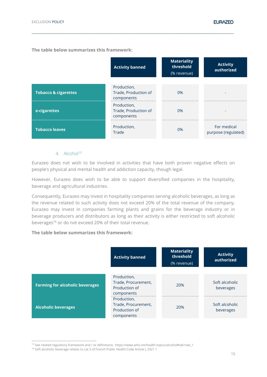|                                 | <b>Activity banned</b>                                          | <b>Materiality</b><br>threshold<br>(% revenue) | <b>Activity</b><br>authorized      |
|---------------------------------|-----------------------------------------------------------------|------------------------------------------------|------------------------------------|
| <b>Tobacco &amp; cigarettes</b> | Production,<br>Trade, Production of                             | 0%                                             |                                    |
| e-cigarettes                    | components<br>Production,<br>Trade, Production of<br>components | 0%                                             |                                    |
| <b>Tobacco leaves</b>           | Production,<br>Trade                                            | $0\%$                                          | For medical<br>purpose (regulated) |

**\_\_\_\_\_\_\_\_\_\_\_\_\_\_\_\_\_\_\_\_\_\_\_\_\_\_\_\_\_\_\_\_\_\_\_\_\_\_\_\_\_\_\_\_\_\_\_\_\_\_\_\_\_\_\_\_\_\_\_\_\_\_\_\_\_\_\_\_\_\_\_\_\_\_\_\_\_\_\_\_\_\_\_\_\_\_\_\_\_\_\_\_\_\_\_\_\_\_\_\_\_\_\_\_\_\_\_\_\_\_\_\_\_\_\_\_\_\_\_\_\_\_\_\_\_\_\_\_\_\_\_**

#### 4. Alcohol<sup>15</sup>

<span id="page-14-0"></span>Eurazeo does not wish to be involved in activities that have both proven negative effects on people's physical and mental health and addiction capacity, though legal.

However, Eurazeo does wish to be able to support diversified companies in the hospitality, beverage and agricultural industries.

Consequently, Eurazeo may invest in hospitality companies serving alcoholic beverages, as long as the revenue related to such activity does not exceed 20% of the total revenue of the company. Eurazeo may invest in companies farming plants and grains for the beverage industry or in beverage producers and distributors as long as their activity is either restricted to soft alcoholic beverages<sup>16</sup> or do not exceed 20% of their total revenue.

|                                        | <b>Activity banned</b>                                            | <b>Materiality</b><br>threshold<br>(% revenue) | <b>Activity</b><br>authorized |
|----------------------------------------|-------------------------------------------------------------------|------------------------------------------------|-------------------------------|
|                                        |                                                                   |                                                |                               |
| <b>Farming for alcoholic beverages</b> | Production,<br>Trade, Procurement,<br>Production of<br>components | 20%                                            | Soft alcoholic<br>beverages   |
| <b>Alcoholic beverages</b>             | Production,<br>Trade, Procurement,<br>Production of<br>components | 20%                                            | Soft alcoholic<br>beverages   |

<sup>15</sup> See related regulatory framework and / or definitions: https://www.who.int/health-topics/alcohol#tab=tab\_1

<sup>&</sup>lt;sup>16</sup> Soft alcoholic beverage relates to cat 3 of French Public Health Code Article L 3321 1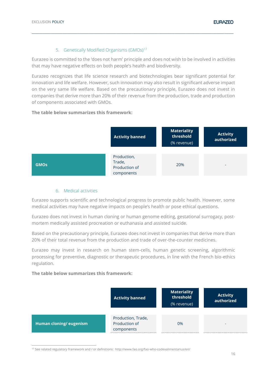#### 5. Genetically Modified Organisms (GMOs)<sup>17</sup>

<span id="page-15-0"></span>Eurazeo is committed to the 'does not harm' principle and does not wish to be involved in activities that may have negative effects on both people's health and biodiversity.

**\_\_\_\_\_\_\_\_\_\_\_\_\_\_\_\_\_\_\_\_\_\_\_\_\_\_\_\_\_\_\_\_\_\_\_\_\_\_\_\_\_\_\_\_\_\_\_\_\_\_\_\_\_\_\_\_\_\_\_\_\_\_\_\_\_\_\_\_\_\_\_\_\_\_\_\_\_\_\_\_\_\_\_\_\_\_\_\_\_\_\_\_\_\_\_\_\_\_\_\_\_\_\_\_\_\_\_\_\_\_\_\_\_\_\_\_\_\_\_\_\_\_\_\_\_\_\_\_\_\_\_**

Eurazeo recognizes that life science research and biotechnologies bear significant potential for innovation and life welfare. However, such innovation may also result in significant adverse impact on the very same life welfare. Based on the precautionary principle, Eurazeo does not invest in companies that derive more than 20% of their revenue from the production, trade and production of components associated with GMOs.

#### **The table below summarizes this framework:**



#### 6. Medical activities

<span id="page-15-1"></span>Eurazeo supports scientific and technological progress to promote public health. However, some medical activities may have negative impacts on people's health or pose ethical questions.

Eurazeo does not invest in human cloning or human genome editing, gestational surrogacy, postmortem medically assisted procreation or euthanasia and assisted suicide.

Based on the precautionary principle, Eurazeo does not invest in companies that derive more than 20% of their total revenue from the production and trade of over-the-counter medicines.

Eurazeo may invest in research on human stem-cells, human genetic screening, algorithmic processing for preventive, diagnostic or therapeutic procedures, in line with the French bio-ethics regulation.

#### **The table below summarizes this framework:**



<sup>17</sup> See related regulatory framework and / or definitions: http://www.fao.org/fao-who-codexalimentarius/en/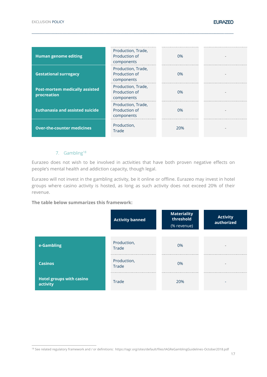| <b>Human genome editing</b>                          | Production, Trade,<br>Production of<br>components | 0%    |  |
|------------------------------------------------------|---------------------------------------------------|-------|--|
| <b>Gestational surrogacy</b>                         | Production, Trade,<br>Production of<br>components | 0%    |  |
| <b>Post-mortem medically assisted</b><br>procreation | Production, Trade,<br>Production of<br>components | $0\%$ |  |
| <b>Euthanasia and assisted suicide</b>               | Production, Trade,<br>Production of<br>components | 0%    |  |
| <b>Over-the-counter medicines</b>                    | Production,<br>Trade                              | 20%   |  |

**\_\_\_\_\_\_\_\_\_\_\_\_\_\_\_\_\_\_\_\_\_\_\_\_\_\_\_\_\_\_\_\_\_\_\_\_\_\_\_\_\_\_\_\_\_\_\_\_\_\_\_\_\_\_\_\_\_\_\_\_\_\_\_\_\_\_\_\_\_\_\_\_\_\_\_\_\_\_\_\_\_\_\_\_\_\_\_\_\_\_\_\_\_\_\_\_\_\_\_\_\_\_\_\_\_\_\_\_\_\_\_\_\_\_\_\_\_\_\_\_\_\_\_\_\_\_\_\_\_\_\_**

#### 7. Gambling<sup>18</sup>

<span id="page-16-0"></span>Eurazeo does not wish to be involved in activities that have both proven negative effects on people's mental health and addiction capacity, though legal.

Eurazeo will not invest in the gambling activity, be it online or offline. Eurazeo may invest in hotel groups where casino activity is hosted, as long as such activity does not exceed 20% of their revenue.

|                                             | <b>Activity banned</b> | <b>Materiality</b><br>threshold<br>(% revenue) | <b>Activity</b><br>authorized |
|---------------------------------------------|------------------------|------------------------------------------------|-------------------------------|
|                                             |                        |                                                |                               |
| e-Gambling                                  | Production,<br>Trade   | $0\%$                                          | $\overline{\phantom{a}}$      |
| <b>Casinos</b>                              | Production,<br>Trade   | 0%                                             | $\qquad \qquad$               |
| <b>Hotel groups with casino</b><br>activity | Trade                  | 20%                                            | ۰                             |

<sup>18</sup> See related regulatory framework and / or definitions: https://iagr.org/sites/default/files/IAGReGamblingGuidelines-October2018.pdf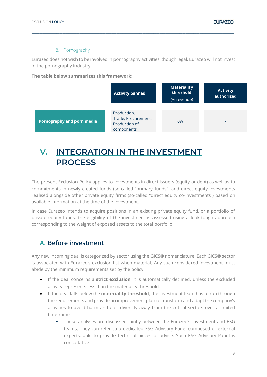#### 8. Pornography

<span id="page-17-0"></span>Eurazeo does not wish to be involved in pornography activities, though legal. Eurazeo will not invest in the pornography industry.

**\_\_\_\_\_\_\_\_\_\_\_\_\_\_\_\_\_\_\_\_\_\_\_\_\_\_\_\_\_\_\_\_\_\_\_\_\_\_\_\_\_\_\_\_\_\_\_\_\_\_\_\_\_\_\_\_\_\_\_\_\_\_\_\_\_\_\_\_\_\_\_\_\_\_\_\_\_\_\_\_\_\_\_\_\_\_\_\_\_\_\_\_\_\_\_\_\_\_\_\_\_\_\_\_\_\_\_\_\_\_\_\_\_\_\_\_\_\_\_\_\_\_\_\_\_\_\_\_\_\_\_**

#### **The table below summarizes this framework:**

|                                   | <b>Activity banned</b>                                            | <b>Materiality</b><br>threshold<br>(% revenue) | <b>Activity</b><br>authorized |
|-----------------------------------|-------------------------------------------------------------------|------------------------------------------------|-------------------------------|
| <b>Pornography and porn media</b> | Production,<br>Trade, Procurement,<br>Production of<br>components | 0%                                             | -                             |

# <span id="page-17-1"></span>**V. INTEGRATION IN THE INVESTMENT PROCESS**

The present Exclusion Policy applies to investments in direct issuers (equity or debt) as well as to commitments in newly created funds (so-called "primary funds") and direct equity investments realised alongside other private equity firms (so-called "direct equity co-investments") based on available information at the time of the investment.

In case Eurazeo intends to acquire positions in an existing private equity fund, or a portfolio of private equity funds, the eligibility of the investment is assessed using a look-tough approach corresponding to the weight of exposed assets to the total portfolio.

### <span id="page-17-2"></span>**A. Before investment**

Any new incoming deal is categorized by sector using the GICS® nomenclature. Each GICS® sector is associated with Eurazeo's exclusion list when material. Any such considered investment must abide by the minimum requirements set by the policy:

- If the deal concerns a **strict exclusion**, it is automatically declined, unless the excluded activity represents less than the materiality threshold.
- If the deal falls below the **materiality threshold**, the investment team has to run through the requirements and provide an improvement plan to transform and adapt the company's activities to avoid harm and / or diversify away from the critical sectors over a limited timeframe.
	- **•** These analyses are discussed jointly between the Eurazeo's investment and ESG teams. They can refer to a dedicated ESG Advisory Panel composed of external experts, able to provide technical pieces of advice. Such ESG Advisory Panel is consultative.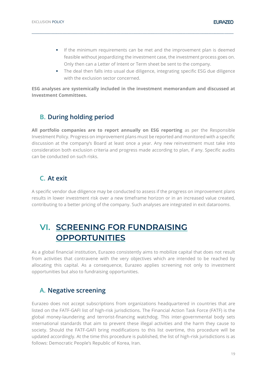- **•** If the minimum requirements can be met and the improvement plan is deemed feasible without jeopardizing the investment case, the investment process goes on. Only then can a Letter of Intent or Term sheet be sent to the company.
- The deal then falls into usual due diligence, integrating specific ESG due diligence with the exclusion sector concerned.

**ESG analyses are systemically included in the investment memorandum and discussed at Investment Committees.** 

**\_\_\_\_\_\_\_\_\_\_\_\_\_\_\_\_\_\_\_\_\_\_\_\_\_\_\_\_\_\_\_\_\_\_\_\_\_\_\_\_\_\_\_\_\_\_\_\_\_\_\_\_\_\_\_\_\_\_\_\_\_\_\_\_\_\_\_\_\_\_\_\_\_\_\_\_\_\_\_\_\_\_\_\_\_\_\_\_\_\_\_\_\_\_\_\_\_\_\_\_\_\_\_\_\_\_\_\_\_\_\_\_\_\_\_\_\_\_\_\_\_\_\_\_\_\_\_\_\_\_\_**

### <span id="page-18-0"></span>**B. During holding period**

All portfolio companies are to report annually on ESG reporting as per the Responsible Investment Policy. Progress on improvement plans must be reported and monitored with a specific discussion at the company's Board at least once a year. Any new reinvestment must take into consideration both exclusion criteria and progress made according to plan, if any. Specific audits can be conducted on such risks.

### <span id="page-18-1"></span>**C. At exit**

A specific vendor due diligence may be conducted to assess if the progress on improvement plans results in lower investment risk over a new timeframe horizon or in an increased value created, contributing to a better pricing of the company. Such analyses are integrated in exit datarooms.

# <span id="page-18-2"></span>**VI. SCREENING FOR FUNDRAISING OPPORTUNITIES**

As a global financial institution, Eurazeo consistently aims to mobilize capital that does not result from activities that contravene with the very objectives which are intended to be reached by allocating this capital. As a consequence, Eurazeo applies screening not only to investment opportunities but also to fundraising opportunities.

### <span id="page-18-3"></span>**A. Negative screening**

Eurazeo does not accept subscriptions from organizations headquartered in countries that are listed on the FATF-GAFI list of high-risk jurisdictions. The Financial Action Task Force (FATF) is the global money-laundering and terrorist-financing watchdog. This inter-governmental body sets international standards that aim to prevent these illegal activities and the harm they cause to society. Should the FATF-GAFI bring modifications to this list overtime, this procedure will be updated accordingly. At the time this procedure is published, the list of high-risk jurisdictions is as follows: Democratic People's Republic of Korea, Iran.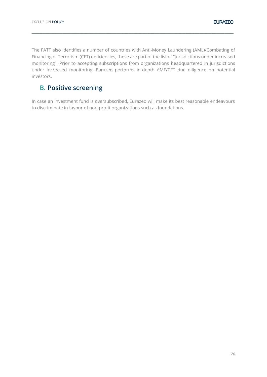The FATF also identifies a number of countries with Anti-Money Laundering (AML)/Combating of Financing of Terrorism (CFT) deficiencies, these are part of the list of "Jurisdictions under increased monitoring". Prior to accepting subscriptions from organizations headquartered in jurisdictions under increased monitoring, Eurazeo performs in-depth AMF/CFT due diligence on potential investors.

**\_\_\_\_\_\_\_\_\_\_\_\_\_\_\_\_\_\_\_\_\_\_\_\_\_\_\_\_\_\_\_\_\_\_\_\_\_\_\_\_\_\_\_\_\_\_\_\_\_\_\_\_\_\_\_\_\_\_\_\_\_\_\_\_\_\_\_\_\_\_\_\_\_\_\_\_\_\_\_\_\_\_\_\_\_\_\_\_\_\_\_\_\_\_\_\_\_\_\_\_\_\_\_\_\_\_\_\_\_\_\_\_\_\_\_\_\_\_\_\_\_\_\_\_\_\_\_\_\_\_\_**

# <span id="page-19-0"></span>**B. Positive screening**

In case an investment fund is oversubscribed, Eurazeo will make its best reasonable endeavours to discriminate in favour of non-profit organizations such as foundations.